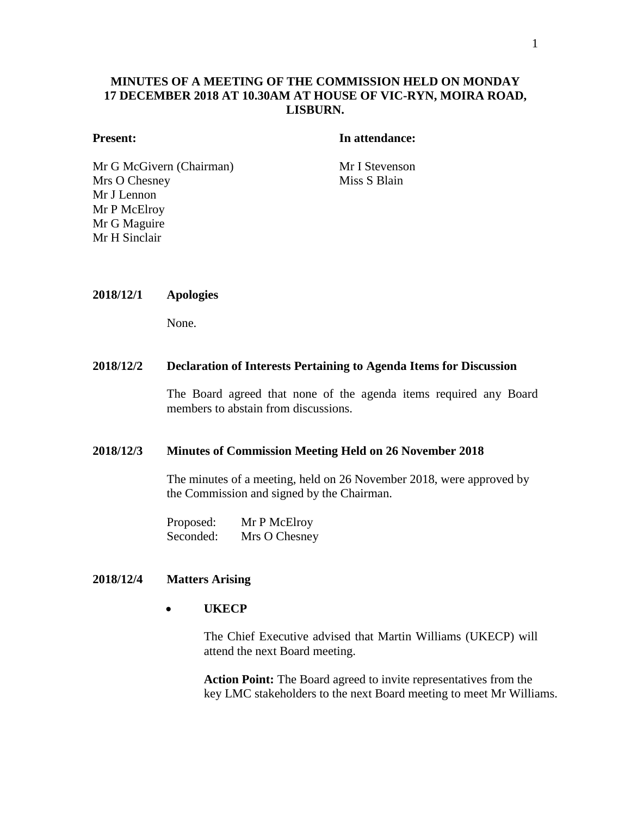# **MINUTES OF A MEETING OF THE COMMISSION HELD ON MONDAY 17 DECEMBER 2018 AT 10.30AM AT HOUSE OF VIC-RYN, MOIRA ROAD, LISBURN.**

# **Present: In attendance:**

Mr G McGivern (Chairman) Mr I Stevenson Mrs O Chesney Mr J Lennon Mr P McElroy Mr G Maguire Mr H Sinclair

Miss S Blain

**2018/12/1 Apologies**

None.

#### **2018/12/2 Declaration of Interests Pertaining to Agenda Items for Discussion**

The Board agreed that none of the agenda items required any Board members to abstain from discussions.

#### **2018/12/3 Minutes of Commission Meeting Held on 26 November 2018**

The minutes of a meeting, held on 26 November 2018, were approved by the Commission and signed by the Chairman.

Proposed: Mr P McElroy Seconded: Mrs O Chesney

## **2018/12/4 Matters Arising**

# **UKECP**

The Chief Executive advised that Martin Williams (UKECP) will attend the next Board meeting.

**Action Point:** The Board agreed to invite representatives from the key LMC stakeholders to the next Board meeting to meet Mr Williams.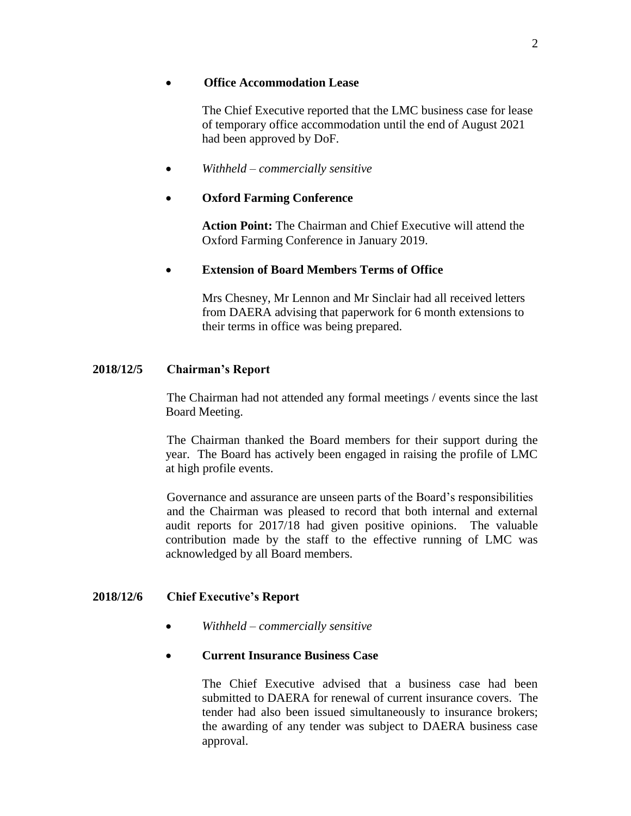## **Office Accommodation Lease**

The Chief Executive reported that the LMC business case for lease of temporary office accommodation until the end of August 2021 had been approved by DoF.

## *Withheld – commercially sensitive*

## **Oxford Farming Conference**

**Action Point:** The Chairman and Chief Executive will attend the Oxford Farming Conference in January 2019.

#### **Extension of Board Members Terms of Office**

Mrs Chesney, Mr Lennon and Mr Sinclair had all received letters from DAERA advising that paperwork for 6 month extensions to their terms in office was being prepared.

## **2018/12/5 Chairman's Report**

The Chairman had not attended any formal meetings / events since the last Board Meeting.

The Chairman thanked the Board members for their support during the year. The Board has actively been engaged in raising the profile of LMC at high profile events.

Governance and assurance are unseen parts of the Board's responsibilities and the Chairman was pleased to record that both internal and external audit reports for 2017/18 had given positive opinions. The valuable contribution made by the staff to the effective running of LMC was acknowledged by all Board members.

#### **2018/12/6 Chief Executive's Report**

- *Withheld – commercially sensitive*
- **Current Insurance Business Case**

The Chief Executive advised that a business case had been submitted to DAERA for renewal of current insurance covers. The tender had also been issued simultaneously to insurance brokers; the awarding of any tender was subject to DAERA business case approval.